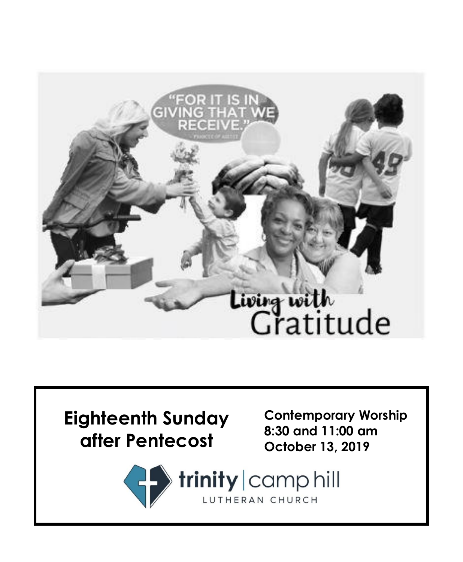

# **Eighteenth Sunday after Pentecost**

**Contemporary Worship 8:30 and 11:00 am October 13, 2019**

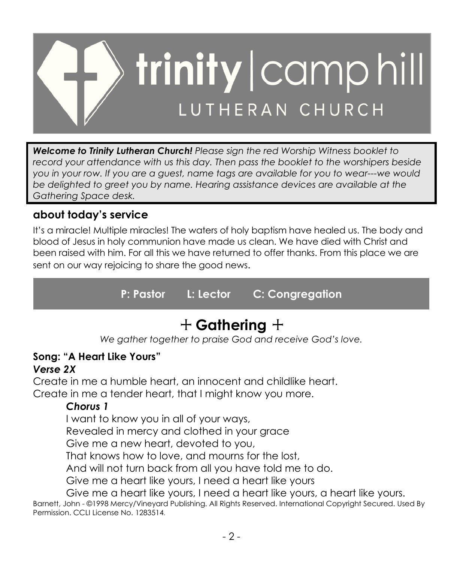

*Welcome to Trinity Lutheran Church! Please sign the red Worship Witness booklet to record your attendance with us this day. Then pass the booklet to the worshipers beside you in your row. If you are a guest, name tags are available for you to wear---we would be delighted to greet you by name. Hearing assistance devices are available at the Gathering Space desk.*

#### **about today's service**

It's a miracle! Multiple miracles! The waters of holy baptism have healed us. The body and blood of Jesus in holy communion have made us clean. We have died with Christ and been raised with him. For all this we have returned to offer thanks. From this place we are sent on our way rejoicing to share the good news.

**P: Pastor L: Lector C: Congregation**

# + **Gathering** +

*We gather together to praise God and receive God's love.*

#### **Song: "A Heart Like Yours"** *Verse 2X*

Create in me a humble heart, an innocent and childlike heart. Create in me a tender heart, that I might know you more.

#### *Chorus 1*

I want to know you in all of your ways,

Revealed in mercy and clothed in your grace

Give me a new heart, devoted to you,

That knows how to love, and mourns for the lost,

And will not turn back from all you have told me to do.

Give me a heart like yours, I need a heart like yours

Give me a heart like yours, I need a heart like yours, a heart like yours. Barnett, John - ©1998 Mercy/Vineyard Publishing. All Rights Reserved. International Copyright Secured. Used By Permission. CCLI License No. 1283514.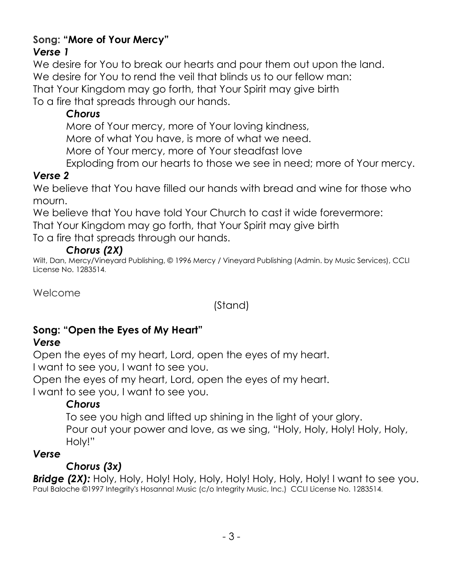## **Song: "More of Your Mercy"**

#### *Verse 1*

We desire for You to break our hearts and pour them out upon the land. We desire for You to rend the veil that blinds us to our fellow man: That Your Kingdom may go forth, that Your Spirit may give birth To a fire that spreads through our hands.

### *Chorus*

More of Your mercy, more of Your loving kindness, More of what You have, is more of what we need. More of Your mercy, more of Your steadfast love

Exploding from our hearts to those we see in need; more of Your mercy.

### *Verse 2*

We believe that You have filled our hands with bread and wine for those who mourn.

We believe that You have told Your Church to cast it wide forevermore:

That Your Kingdom may go forth, that Your Spirit may give birth

To a fire that spreads through our hands.

#### *Chorus (2X)*

Wilt, Dan, Mercy/Vineyard Publishing, © 1996 Mercy / Vineyard Publishing (Admin. by Music Services), CCLI License No. 1283514.

Welcome

(Stand)

## **Song: "Open the Eyes of My Heart"**

### *Verse*

Open the eyes of my heart, Lord, open the eyes of my heart.

I want to see you, I want to see you.

Open the eyes of my heart, Lord, open the eyes of my heart.

I want to see you, I want to see you.

## *Chorus*

To see you high and lifted up shining in the light of your glory. Pour out your power and love, as we sing, "Holy, Holy, Holy! Holy, Holy, Holy!"

### *Verse*

## *Chorus (3x)*

*Bridge (2X):* Holy, Holy, Holy! Holy, Holy, Holy! Holy, Holy, Holy! I want to see you. Paul Baloche ©1997 Integrity's Hosanna! Music (c/o Integrity Music, Inc.) CCLI License No. 1283514.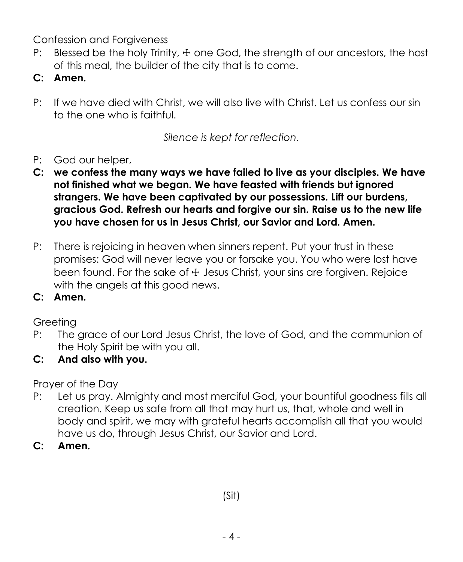Confession and Forgiveness

- P: Blessed be the holy Trinity,  $\pm$  one God, the strength of our ancestors, the host of this meal, the builder of the city that is to come.
- **C: Amen.**
- P: If we have died with Christ, we will also live with Christ. Let us confess our sin to the one who is faithful.

*Silence is kept for reflection.*

- P: God our helper,
- **C: we confess the many ways we have failed to live as your disciples. We have not finished what we began. We have feasted with friends but ignored strangers. We have been captivated by our possessions. Lift our burdens, gracious God. Refresh our hearts and forgive our sin. Raise us to the new life you have chosen for us in Jesus Christ, our Savior and Lord. Amen.**
- P: There is rejoicing in heaven when sinners repent. Put your trust in these promises: God will never leave you or forsake you. You who were lost have been found. For the sake of  $\pm$  Jesus Christ, your sins are forgiven. Rejoice with the angels at this good news.
- **C: Amen.**

Greeting

- P: The grace of our Lord Jesus Christ, the love of God, and the communion of the Holy Spirit be with you all.
- **C: And also with you.**

Prayer of the Day

- P: Let us pray. Almighty and most merciful God, your bountiful goodness fills all creation. Keep us safe from all that may hurt us, that, whole and well in body and spirit, we may with grateful hearts accomplish all that you would have us do, through Jesus Christ, our Savior and Lord.
- **C: Amen.**

(Sit)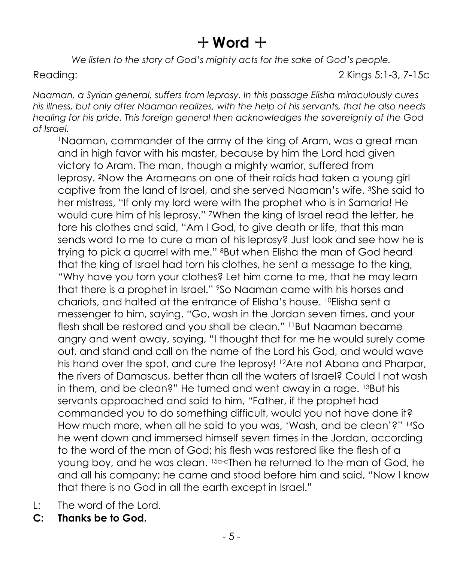# $+$  Word  $+$

*We listen to the story of God's mighty acts for the sake of God's people.*

Reading: 2 Kings 5:1-3, 7-15c

*Naaman, a Syrian general, suffers from leprosy. In this passage Elisha miraculously cures his illness, but only after Naaman realizes, with the help of his servants, that he also needs healing for his pride. This foreign general then acknowledges the sovereignty of the God of Israel.*

<sup>1</sup>Naaman, commander of the army of the king of Aram, was a great man and in high favor with his master, because by him the Lord had given victory to Aram. The man, though a mighty warrior, suffered from leprosy. <sup>2</sup>Now the Arameans on one of their raids had taken a young girl captive from the land of Israel, and she served Naaman's wife. <sup>3</sup>She said to her mistress, "If only my lord were with the prophet who is in Samaria! He would cure him of his leprosy." <sup>7</sup>When the king of Israel read the letter, he tore his clothes and said, "Am I God, to give death or life, that this man sends word to me to cure a man of his leprosy? Just look and see how he is trying to pick a quarrel with me." <sup>8</sup>But when Elisha the man of God heard that the king of Israel had torn his clothes, he sent a message to the king, "Why have you torn your clothes? Let him come to me, that he may learn that there is a prophet in Israel." <sup>9</sup>So Naaman came with his horses and chariots, and halted at the entrance of Elisha's house. <sup>10</sup>Elisha sent a messenger to him, saying, "Go, wash in the Jordan seven times, and your flesh shall be restored and you shall be clean." <sup>11</sup>But Naaman became angry and went away, saying, "I thought that for me he would surely come out, and stand and call on the name of the Lord his God, and would wave his hand over the spot, and cure the leprosy! <sup>12</sup>Are not Abana and Pharpar, the rivers of Damascus, better than all the waters of Israel? Could I not wash in them, and be clean?" He turned and went away in a rage. <sup>13</sup>But his servants approached and said to him, "Father, if the prophet had commanded you to do something difficult, would you not have done it? How much more, when all he said to you was, 'Wash, and be clean'?" <sup>14</sup>So he went down and immersed himself seven times in the Jordan, according to the word of the man of God; his flesh was restored like the flesh of a young boy, and he was clean. 15a-cThen he returned to the man of God, he and all his company; he came and stood before him and said, "Now I know that there is no God in all the earth except in Israel."

- L: The word of the Lord.
- **C: Thanks be to God.**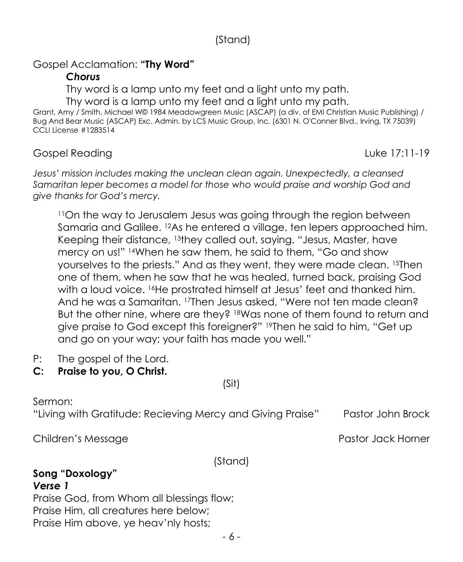- 6 -

#### Gospel Acclamation: **"Thy Word"**

#### *Chorus*

Thy word is a lamp unto my feet and a light unto my path.

Thy word is a lamp unto my feet and a light unto my path.

Grant, Amy / Smith, Michael W© 1984 Meadowgreen Music (ASCAP) (a div. of EMI Christian Music Publishing) / Bug And Bear Music (ASCAP) Exc. Admin. by LCS Music Group, Inc. (6301 N. O'Conner Blvd., Irving, TX 75039) CCLI License #1283514

#### Gospel Reading **Luke 17:11-19**

*Jesus' mission includes making the unclean clean again. Unexpectedly, a cleansed Samaritan leper becomes a model for those who would praise and worship God and give thanks for God's mercy.*

<sup>11</sup>On the way to Jerusalem Jesus was going through the region between Samaria and Galilee. <sup>12</sup>As he entered a village, ten lepers approached him. Keeping their distance, <sup>13</sup>they called out, saying, "Jesus, Master, have mercy on us!" <sup>14</sup>When he saw them, he said to them, "Go and show yourselves to the priests." And as they went, they were made clean. <sup>15</sup>Then one of them, when he saw that he was healed, turned back, praising God with a loud voice. <sup>16</sup>He prostrated himself at Jesus' feet and thanked him. And he was a Samaritan. <sup>17</sup>Then Jesus asked, "Were not ten made clean? But the other nine, where are they? 18Was none of them found to return and give praise to God except this foreigner?" <sup>19</sup>Then he said to him, "Get up and go on your way; your faith has made you well."

- P: The gospel of the Lord.
- **C: Praise to you, O Christ.**

(Sit)

Sermon:

"Living with Gratitude: Recieving Mercy and Giving Praise" Pastor John Brock

Children's Message Pastor Jack Horner

(Stand)

#### **Song "Doxology"** *Verse 1*

Praise God, from Whom all blessings flow; Praise Him, all creatures here below; Praise Him above, ye heav'nly hosts;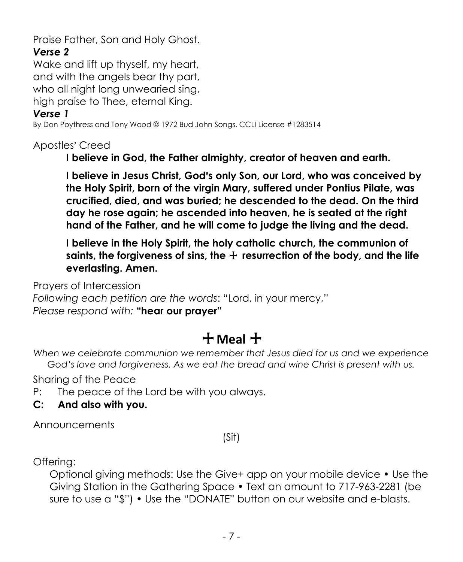Praise Father, Son and Holy Ghost.

#### *Verse 2*

Wake and lift up thyself, my heart, and with the angels bear thy part, who all night long unwearied sing, high praise to Thee, eternal King.

#### *Verse 1*

By Don Poythress and Tony Wood © 1972 Bud John Songs. CCLI License #1283514

Apostles' Creed

**I believe in God, the Father almighty, creator of heaven and earth.**

**I believe in Jesus Christ, God's only Son, our Lord, who was conceived by the Holy Spirit, born of the virgin Mary, suffered under Pontius Pilate, was crucified, died, and was buried; he descended to the dead. On the third day he rose again; he ascended into heaven, he is seated at the right hand of the Father, and he will come to judge the living and the dead.**

**I believe in the Holy Spirit, the holy catholic church, the communion of**  saints, the forgiveness of sins, the  $+$  resurrection of the body, and the life **everlasting. Amen.**

Prayers of Intercession

*Following each petition are the words*: "Lord, in your mercy," *Please respond with:* **"hear our prayer"**

## + **Meal** +

*When we celebrate communion we remember that Jesus died for us and we experience God's love and forgiveness. As we eat the bread and wine Christ is present with us.*

Sharing of the Peace

- P: The peace of the Lord be with you always.
- **C: And also with you.**

Announcements

(Sit)

Offering:

Optional giving methods: Use the Give+ app on your mobile device • Use the Giving Station in the Gathering Space • Text an amount to 717-963-2281 (be sure to use a "\$") • Use the "DONATE" button on our website and e-blasts.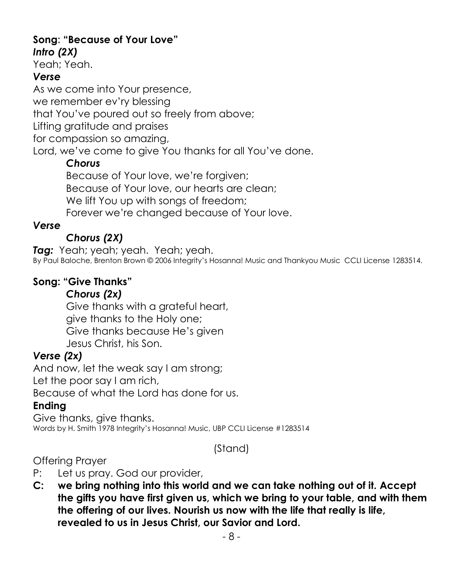#### **Song: "Because of Your Love"** *Intro (2X)*

Yeah; Yeah.

#### *Verse*

As we come into Your presence, we remember ev'ry blessing that You've poured out so freely from above; Lifting gratitude and praises for compassion so amazing, Lord, we've come to give You thanks for all You've done.

#### *Chorus*

Because of Your love, we're forgiven; Because of Your love, our hearts are clean; We lift You up with songs of freedom; Forever we're changed because of Your love.

#### *Verse*

### *Chorus (2X)*

*Tag:* Yeah; yeah; yeah. Yeah; yeah. By Paul Baloche, Brenton Brown © 2006 Integrity's Hosanna! Music and Thankyou Music CCLI License 1283514.

### **Song: "Give Thanks"**

#### *Chorus (2x)*

Give thanks with a grateful heart, give thanks to the Holy one; Give thanks because He's given Jesus Christ, his Son.

#### *Verse (2x)*

And now, let the weak say I am strong; Let the poor say I am rich,

Because of what the Lord has done for us.

#### **Ending**

Give thanks, give thanks. Words by H. Smith 1978 Integrity's Hosanna! Music, UBP CCLI License #1283514

(Stand)

Offering Prayer

- P: Let us pray. God our provider,
- **C: we bring nothing into this world and we can take nothing out of it. Accept the gifts you have first given us, which we bring to your table, and with them the offering of our lives. Nourish us now with the life that really is life, revealed to us in Jesus Christ, our Savior and Lord.**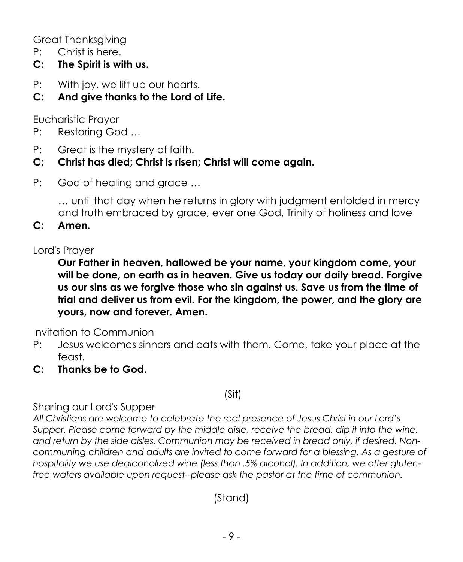Great Thanksgiving

- P: Christ is here.
- **C: The Spirit is with us.**
- P: With joy, we lift up our hearts.
- **C: And give thanks to the Lord of Life.**

Eucharistic Prayer

- P: Restoring God …
- P: Great is the mystery of faith.

#### **C: Christ has died; Christ is risen; Christ will come again.**

P: God of healing and grace …

… until that day when he returns in glory with judgment enfolded in mercy and truth embraced by grace, ever one God, Trinity of holiness and love

**C: Amen.**

Lord's Prayer

**Our Father in heaven, hallowed be your name, your kingdom come, your will be done, on earth as in heaven. Give us today our daily bread. Forgive us our sins as we forgive those who sin against us. Save us from the time of trial and deliver us from evil. For the kingdom, the power, and the glory are yours, now and forever. Amen.**

Invitation to Communion

- P: Jesus welcomes sinners and eats with them. Come, take your place at the feast.
- **C: Thanks be to God.**

(Sit)

#### Sharing our Lord's Supper

*All Christians are welcome to celebrate the real presence of Jesus Christ in our Lord's Supper. Please come forward by the middle aisle, receive the bread, dip it into the wine, and return by the side aisles. Communion may be received in bread only, if desired. Noncommuning children and adults are invited to come forward for a blessing. As a gesture of hospitality we use dealcoholized wine (less than .5% alcohol). In addition, we offer glutenfree wafers available upon request--please ask the pastor at the time of communion.*

(Stand)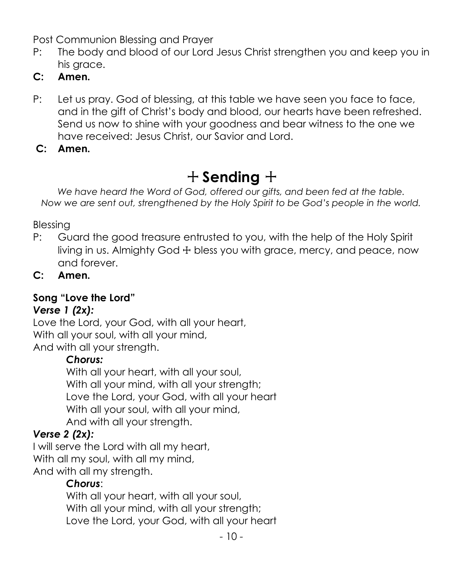Post Communion Blessing and Prayer

- P: The body and blood of our Lord Jesus Christ strengthen you and keep you in his grace.
- **C: Amen.**
- P: Let us pray. God of blessing, at this table we have seen you face to face, and in the gift of Christ's body and blood, our hearts have been refreshed. Send us now to shine with your goodness and bear witness to the one we have received: Jesus Christ, our Savior and Lord.
- **C: Amen.**

# + **Sending** +

*We have heard the Word of God, offered our gifts, and been fed at the table. Now we are sent out, strengthened by the Holy Spirit to be God's people in the world.*

#### Blessing

- P: Guard the good treasure entrusted to you, with the help of the Holy Spirit living in us. Almighty God + bless you with grace, mercy, and peace, now and forever.
- **C: Amen.**

#### **Song "Love the Lord"** *Verse 1 (2x):*

Love the Lord, your God, with all your heart, With all your soul, with all your mind, And with all your strength.

#### *Chorus:*

With all your heart, with all your soul, With all your mind, with all your strength; Love the Lord, your God, with all your heart With all your soul, with all your mind, And with all your strength.

### *Verse 2 (2x):*

I will serve the Lord with all my heart, With all my soul, with all my mind, And with all my strength.

### *Chorus*:

With all your heart, with all your soul, With all your mind, with all your strength; Love the Lord, your God, with all your heart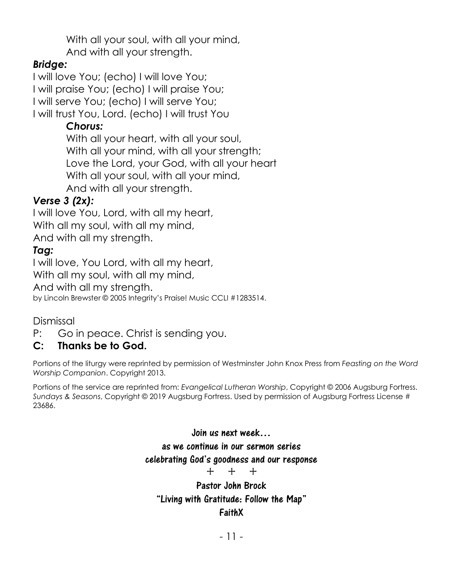With all your soul, with all your mind, And with all your strength.

#### *Bridge:*

I will love You; (echo) I will love You; I will praise You; (echo) I will praise You; I will serve You; (echo) I will serve You; I will trust You, Lord. (echo) I will trust You

#### *Chorus:*

With all your heart, with all your soul, With all your mind, with all your strength; Love the Lord, your God, with all your heart With all your soul, with all your mind, And with all your strength.

#### *Verse 3 (2x):*

I will love You, Lord, with all my heart, With all my soul, with all my mind, And with all my strength.

#### *Tag:*

I will love, You Lord, with all my heart, With all my soul, with all my mind, And with all my strength. by Lincoln Brewster © 2005 Integrity's Praise! Music CCLI #1283514.

Dismissal

P: Go in peace. Christ is sending you.

#### **C: Thanks be to God.**

Portions of the liturgy were reprinted by permission of Westminster John Knox Press from *Feasting on the Word Worship Companion*. Copyright 2013.

Portions of the service are reprinted from: *Evangelical Lutheran Worship*, Copyright © 2006 Augsburg Fortress. *Sundays & Seasons*, Copyright © 2019 Augsburg Fortress. Used by permission of Augsburg Fortress License # 23686.

> Join us next week… as we continue in our sermon series celebrating God's goodness and our response + + +

#### Pastor John Brock "Living with Gratitude: Follow the Map" FaithX